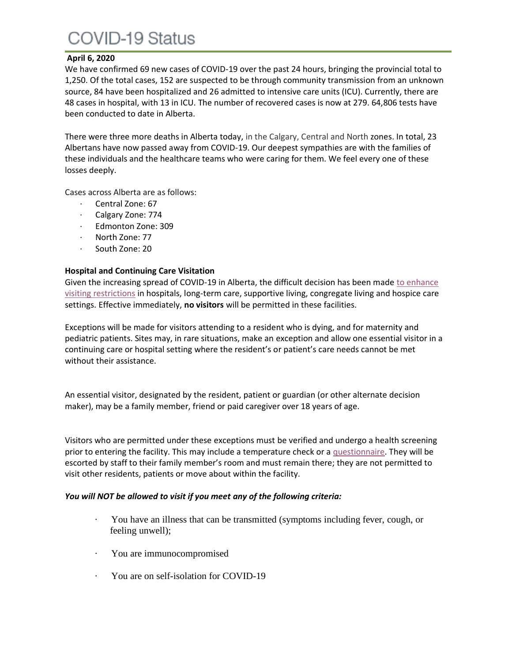# COVID-19 Status

# **April 6, 2020**

We have confirmed 69 new cases of COVID-19 over the past 24 hours, bringing the provincial total to 1,250. Of the total cases, 152 are suspected to be through community transmission from an unknown source, 84 have been hospitalized and 26 admitted to intensive care units (ICU). Currently, there are 48 cases in hospital, with 13 in ICU. The number of recovered cases is now at 279. 64,806 tests have been conducted to date in Alberta.

There were three more deaths in Alberta today, in the Calgary, Central and North zones. In total, 23 Albertans have now passed away from COVID-19. Our deepest sympathies are with the families of these individuals and the healthcare teams who were caring for them. We feel every one of these losses deeply.

Cases across Alberta are as follows:

- · Central Zone: 67
- · Calgary Zone: 774
- · Edmonton Zone: 309
- North Zone: 77
- · South Zone: 20

### **Hospital and Continuing Care Visitation**

Given the increasing spread of COVID-19 in Alberta, the difficult decision has been made to enhance [visiting restrictions](https://www.albertahealthservices.ca/topics/Page17001.aspx) in hospitals, long-term care, supportive living, congregate living and hospice care settings. Effective immediately, **no visitors** will be permitted in these facilities.

Exceptions will be made for visitors attending to a resident who is dying, and for maternity and pediatric patients. Sites may, in rare situations, make an exception and allow one essential visitor in a continuing care or hospital setting where the resident's or patient's care needs cannot be met without their assistance.

An essential visitor, designated by the resident, patient or guardian (or other alternate decision maker), may be a family member, friend or paid caregiver over 18 years of age.

Visitors who are permitted under these exceptions must be verified and undergo a health screening prior to entering the facility. This may include a temperature check or a [questionnaire.](https://www.albertahealthservices.ca/assets/info/ppih/if-ppih-visitor-guidance-continuing-care-and-congregate-living.pdf) They will be escorted by staff to their family member's room and must remain there; they are not permitted to visit other residents, patients or move about within the facility.

### *You will NOT be allowed to visit if you meet any of the following criteria:*

- · You have an illness that can be transmitted (symptoms including fever, cough, or feeling unwell);
- You are immunocompromised
- You are on self-isolation for COVID-19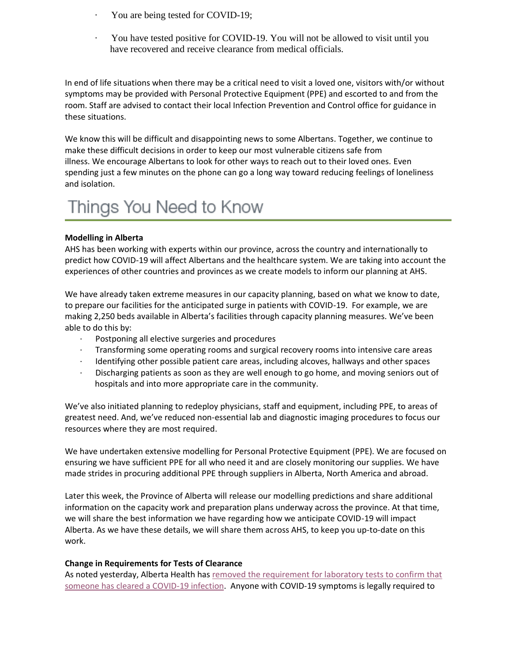- You are being tested for COVID-19;
- · You have tested positive for COVID-19. You will not be allowed to visit until you have recovered and receive clearance from medical officials.

In end of life situations when there may be a critical need to visit a loved one, visitors with/or without symptoms may be provided with Personal Protective Equipment (PPE) and escorted to and from the room. Staff are advised to contact their local Infection Prevention and Control office for guidance in these situations.

We know this will be difficult and disappointing news to some Albertans. Together, we continue to make these difficult decisions in order to keep our most vulnerable citizens safe from illness. We encourage Albertans to look for other ways to reach out to their loved ones. Even spending just a few minutes on the phone can go a long way toward reducing feelings of loneliness and isolation.

# Things You Need to Know

#### **Modelling in Alberta**

AHS has been working with experts within our province, across the country and internationally to predict how COVID-19 will affect Albertans and the healthcare system. We are taking into account the experiences of other countries and provinces as we create models to inform our planning at AHS.

We have already taken extreme measures in our capacity planning, based on what we know to date, to prepare our facilities for the anticipated surge in patients with COVID-19. For example, we are making 2,250 beds available in Alberta's facilities through capacity planning measures. We've been able to do this by:

- Postponing all elective surgeries and procedures
- · Transforming some operating rooms and surgical recovery rooms into intensive care areas
- · Identifying other possible patient care areas, including alcoves, hallways and other spaces
- · Discharging patients as soon as they are well enough to go home, and moving seniors out of hospitals and into more appropriate care in the community.

We've also initiated planning to redeploy physicians, staff and equipment, including PPE, to areas of greatest need. And, we've reduced non-essential lab and diagnostic imaging procedures to focus our resources where they are most required.

We have undertaken extensive modelling for Personal Protective Equipment (PPE). We are focused on ensuring we have sufficient PPE for all who need it and are closely monitoring our supplies. We have made strides in procuring additional PPE through suppliers in Alberta, North America and abroad.

Later this week, the Province of Alberta will release our modelling predictions and share additional information on the capacity work and preparation plans underway across the province. At that time, we will share the best information we have regarding how we anticipate COVID-19 will impact Alberta. As we have these details, we will share them across AHS, to keep you up-to-date on this work.

#### **Change in Requirements for Tests of Clearance**

As noted yesterday, Alberta Health has [removed the requirement for laboratory tests to confirm that](http://www.ahs.ca/results)  [someone has cleared a COVID-19 infection.](http://www.ahs.ca/results) Anyone with COVID-19 symptoms is legally required to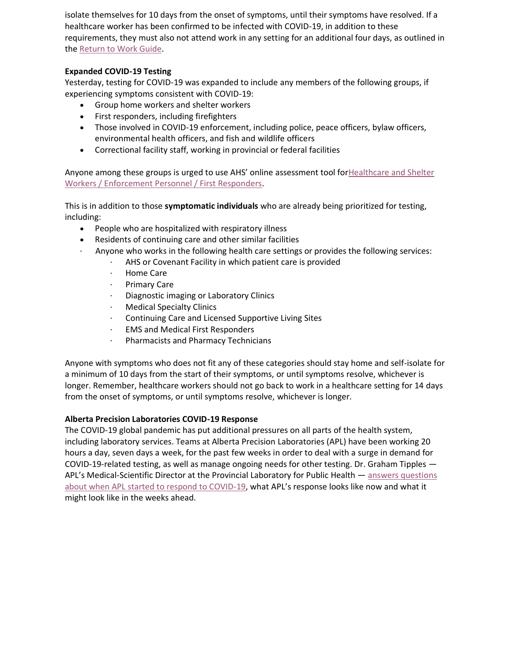isolate themselves for 10 days from the onset of symptoms, until their symptoms have resolved. If a healthcare worker has been confirmed to be infected with COVID-19, in addition to these requirements, they must also not attend work in any setting for an additional four days, as outlined in the [Return to Work Guide.](https://www.albertahealthservices.ca/assets/info/ppih/if-ppih-covid-19-return-to-work-guide-ahs-healthcare-worker.pdf)

# **Expanded COVID-19 Testing**

Yesterday, testing for COVID-19 was expanded to include any members of the following groups, if experiencing symptoms consistent with COVID-19:

- Group home workers and shelter workers
- First responders, including firefighters
- Those involved in COVID-19 enforcement, including police, peace officers, bylaw officers, environmental health officers, and fish and wildlife officers
- Correctional facility staff, working in provincial or federal facilities

Anyone among these groups is urged to use AHS' online assessment tool for[Healthcare and Shelter](https://myhealth.alberta.ca/Journey/COVID-19/Pages/HWAssessLanding.aspx)  [Workers / Enforcement Personnel / First Responders.](https://myhealth.alberta.ca/Journey/COVID-19/Pages/HWAssessLanding.aspx)

This is in addition to those **symptomatic individuals** who are already being prioritized for testing, including:

- People who are hospitalized with respiratory illness
- Residents of continuing care and other similar facilities
- · Anyone who works in the following health care settings or provides the following services:
	- AHS or Covenant Facility in which patient care is provided
	- · Home Care
	- · Primary Care
	- · Diagnostic imaging or Laboratory Clinics
	- **Medical Specialty Clinics**
	- Continuing Care and Licensed Supportive Living Sites
	- **EMS and Medical First Responders**
	- · Pharmacists and Pharmacy Technicians

Anyone with symptoms who does not fit any of these categories should stay home and self-isolate for a minimum of 10 days from the start of their symptoms, or until symptoms resolve, whichever is longer. Remember, healthcare workers should not go back to work in a healthcare setting for 14 days from the onset of symptoms, or until symptoms resolve, whichever is longer.

### **Alberta Precision Laboratories COVID-19 Response**

The COVID-19 global pandemic has put additional pressures on all parts of the health system, including laboratory services. Teams at Alberta Precision Laboratories (APL) have been working 20 hours a day, seven days a week, for the past few weeks in order to deal with a surge in demand for COVID-19-related testing, as well as manage ongoing needs for other testing. Dr. Graham Tipples — APL's Medical-Scientific Director at the Provincial Laboratory for Public Health — answers questions [about when APL started to respond to COVID-19](https://www.albertahealthservices.ca/topics/Page17061.aspx), what APL's response looks like now and what it might look like in the weeks ahead.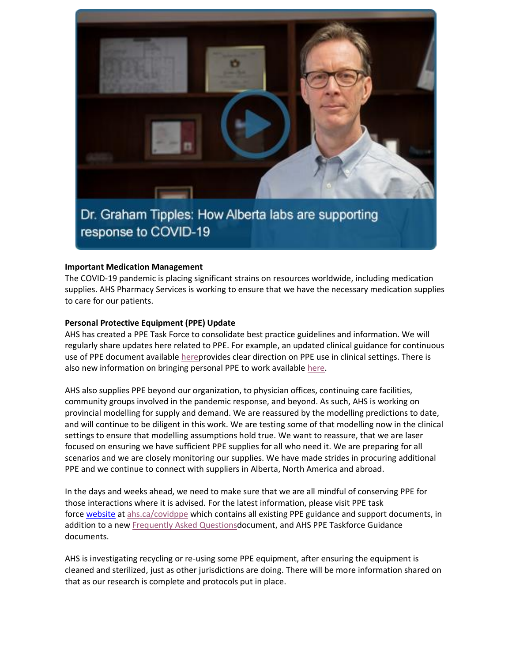

response to COVID-19

#### **Important Medication Management**

The COVID-19 pandemic is placing significant strains on resources worldwide, including medication supplies. AHS Pharmacy Services is working to ensure that we have the necessary medication supplies to care for our patients.

### **Personal Protective Equipment (PPE) Update**

AHS has created a PPE Task Force to consolidate best practice guidelines and information. We will regularly share updates here related to PPE. For example, an updated clinical guidance for continuous use of PPE document available [herep](https://www.albertahealthservices.ca/assets/info/ppih/if-ppih-covid-19-ppe-continuous-use-guidance.pdf)rovides clear direction on PPE use in clinical settings. There is also new information on bringing personal PPE to work available [here.](https://www.albertahealthservices.ca/assets/info/ppih/if-ppih-ppe-bring-my-own-guidance.pdf)

AHS also supplies PPE beyond our organization, to physician offices, continuing care facilities, community groups involved in the pandemic response, and beyond. As such, AHS is working on provincial modelling for supply and demand. We are reassured by the modelling predictions to date, and will continue to be diligent in this work. We are testing some of that modelling now in the clinical settings to ensure that modelling assumptions hold true. We want to reassure, that we are laser focused on ensuring we have sufficient PPE supplies for all who need it. We are preparing for all scenarios and we are closely monitoring our supplies. We have made strides in procuring additional PPE and we continue to connect with suppliers in Alberta, North America and abroad.

In the days and weeks ahead, we need to make sure that we are all mindful of conserving PPE for those interactions where it is advised. For the latest information, please visit PPE task force website at [ahs.ca/covidppe](http://www.ahs.ca/covidppe) which contains all existing PPE guidance and support documents, in addition to a new [Frequently Asked Questionsd](https://www.albertahealthservices.ca/assets/info/ppih/if-ppih-covid-19-ppe-faq.pdf)ocument, and AHS PPE Taskforce Guidance documents.

AHS is investigating recycling or re-using some PPE equipment, after ensuring the equipment is cleaned and sterilized, just as other jurisdictions are doing. There will be more information shared on that as our research is complete and protocols put in place.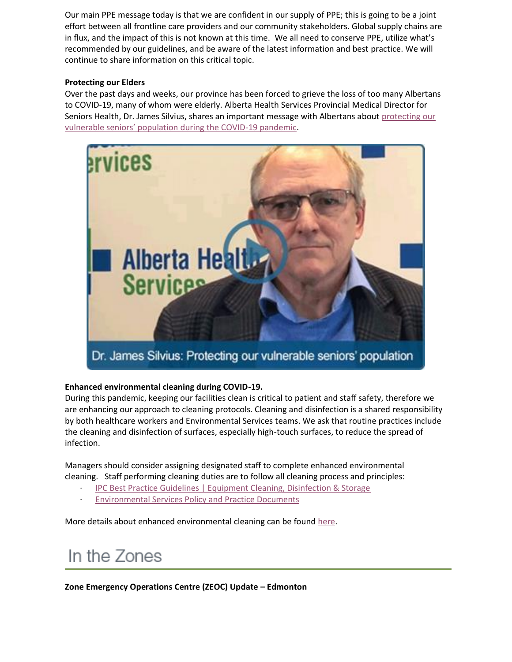Our main PPE message today is that we are confident in our supply of PPE; this is going to be a joint effort between all frontline care providers and our community stakeholders. Global supply chains are in flux, and the impact of this is not known at this time. We all need to conserve PPE, utilize what's recommended by our guidelines, and be aware of the latest information and best practice. We will continue to share information on this critical topic.

## **Protecting our Elders**

Over the past days and weeks, our province has been forced to grieve the loss of too many Albertans to COVID-19, many of whom were elderly. Alberta Health Services Provincial Medical Director for Seniors Health, Dr. James Silvius, shares an important message with Albertans about [protecting our](https://www.albertahealthservices.ca/topics/Page17059.aspx)  [vulnerable seniors' population during the COVID](https://www.albertahealthservices.ca/topics/Page17059.aspx)-19 pandemic.



# **Enhanced environmental cleaning during COVID-19.**

During this pandemic, keeping our facilities clean is critical to patient and staff safety, therefore we are enhancing our approach to cleaning protocols. Cleaning and disinfection is a shared responsibility by both healthcare workers and Environmental Services teams. We ask that routine practices include the cleaning and disinfection of surfaces, especially high-touch surfaces, to reduce the spread of infection.

Managers should consider assigning designated staff to complete enhanced environmental cleaning. Staff performing cleaning duties are to follow all cleaning process and principles:

- · [IPC Best Practice Guidelines | Equipment Cleaning, Disinfection & Storage](https://www.albertahealthservices.ca/info/Page6411.aspx)
- **[Environmental Services Policy and Practice Documents](https://insite.albertahealthservices.ca/nfles/Page18629.aspx)**

More details about enhanced environmental cleaning can be found [here.](https://insite.albertahealthservices.ca/main/assets/tls/ep/tls-ep-ipc-covid-enhanced-cln-env-z0-info-sht.pdf)

# In the Zones

**Zone Emergency Operations Centre (ZEOC) Update – Edmonton**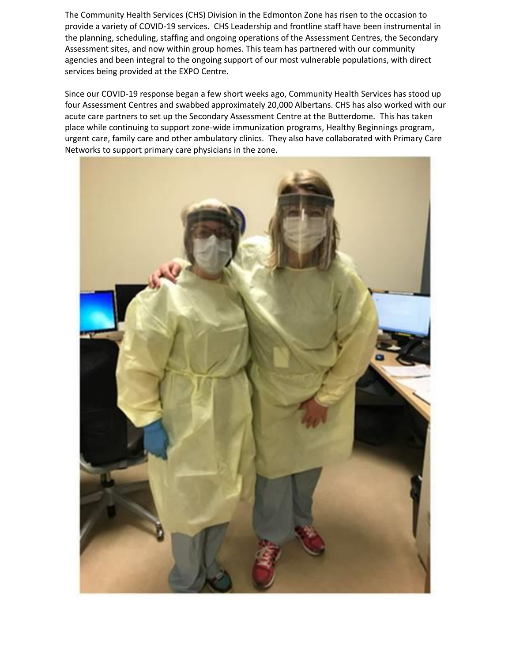The Community Health Services (CHS) Division in the Edmonton Zone has risen to the occasion to provide a variety of COVID-19 services. CHS Leadership and frontline staff have been instrumental in the planning, scheduling, staffing and ongoing operations of the Assessment Centres, the Secondary Assessment sites, and now within group homes. This team has partnered with our community agencies and been integral to the ongoing support of our most vulnerable populations, with direct services being provided at the EXPO Centre.

Since our COVID-19 response began a few short weeks ago, Community Health Services has stood up four Assessment Centres and swabbed approximately 20,000 Albertans. CHS has also worked with our acute care partners to set up the Secondary Assessment Centre at the Butterdome. This has taken place while continuing to support zone-wide immunization programs, Healthy Beginnings program, urgent care, family care and other ambulatory clinics. They also have collaborated with Primary Care Networks to support primary care physicians in the zone.

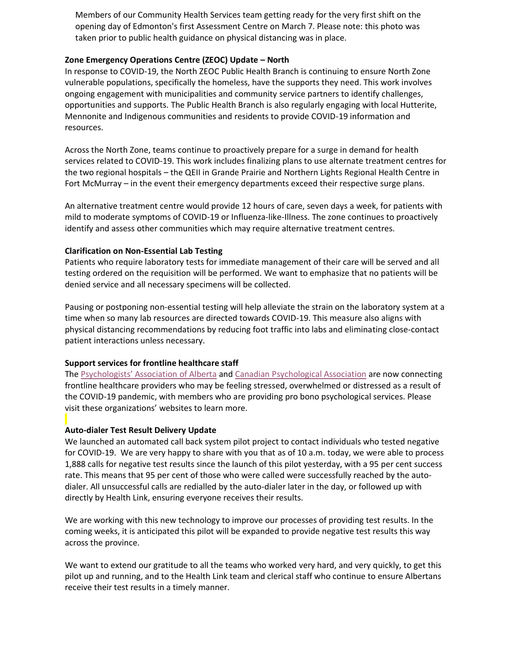Members of our Community Health Services team getting ready for the very first shift on the opening day of Edmonton's first Assessment Centre on March 7. Please note: this photo was taken prior to public health guidance on physical distancing was in place.

#### **Zone Emergency Operations Centre (ZEOC) Update – North**

In response to COVID-19, the North ZEOC Public Health Branch is continuing to ensure North Zone vulnerable populations, specifically the homeless, have the supports they need. This work involves ongoing engagement with municipalities and community service partners to identify challenges, opportunities and supports. The Public Health Branch is also regularly engaging with local Hutterite, Mennonite and Indigenous communities and residents to provide COVID-19 information and resources.

Across the North Zone, teams continue to proactively prepare for a surge in demand for health services related to COVID-19. This work includes finalizing plans to use alternate treatment centres for the two regional hospitals – the QEII in Grande Prairie and Northern Lights Regional Health Centre in Fort McMurray – in the event their emergency departments exceed their respective surge plans.

An alternative treatment centre would provide 12 hours of care, seven days a week, for patients with mild to moderate symptoms of COVID-19 or Influenza-like-Illness. The zone continues to proactively identify and assess other communities which may require alternative treatment centres.

#### **Clarification on Non-Essential Lab Testing**

Patients who require laboratory tests for immediate management of their care will be served and all testing ordered on the requisition will be performed. We want to emphasize that no patients will be denied service and all necessary specimens will be collected.

Pausing or postponing non-essential testing will help alleviate the strain on the laboratory system at a time when so many lab resources are directed towards COVID-19. This measure also aligns with physical distancing recommendations by reducing foot traffic into labs and eliminating close-contact patient interactions unless necessary.

### **Support services for frontline healthcare staff**

The [Psychologists' Association of Alberta](https://psychologistsassociation.ab.ca/about-paa/disaster-response-network/) and [Canadian Psychological Association](https://cpa.ca/corona-virus/psychservices/#Alberta) are now connecting frontline healthcare providers who may be feeling stressed, overwhelmed or distressed as a result of the COVID-19 pandemic, with members who are providing pro bono psychological services. Please visit these organizations' websites to learn more.

#### **Auto-dialer Test Result Delivery Update**

We launched an automated call back system pilot project to contact individuals who tested negative for COVID-19. We are very happy to share with you that as of 10 a.m. today, we were able to process 1,888 calls for negative test results since the launch of this pilot yesterday, with a 95 per cent success rate. This means that 95 per cent of those who were called were successfully reached by the autodialer. All unsuccessful calls are redialled by the auto-dialer later in the day, or followed up with directly by Health Link, ensuring everyone receives their results.

We are working with this new technology to improve our processes of providing test results. In the coming weeks, it is anticipated this pilot will be expanded to provide negative test results this way across the province.

We want to extend our gratitude to all the teams who worked very hard, and very quickly, to get this pilot up and running, and to the Health Link team and clerical staff who continue to ensure Albertans receive their test results in a timely manner.